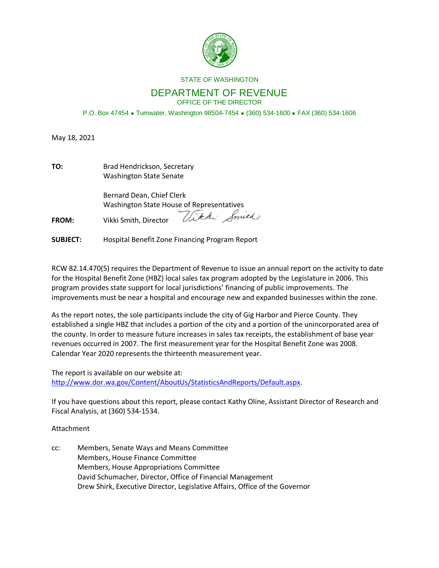

#### STATE OF WASHINGTON

#### DEPARTMENT OF REVENUE OFFICE OF THE DIRECTOR

P.O. Box 47454 Tumwater, Washington 98504-7454 (360) 534-1600 FAX (360) 534-1606

May 18, 2021

| TO:          | Brad Hendrickson, Secretary<br><b>Washington State Senate</b>                                                         |
|--------------|-----------------------------------------------------------------------------------------------------------------------|
| <b>FROM:</b> | Bernard Dean, Chief Clerk<br><b>Washington State House of Representatives</b><br>Vikki Smith<br>Vikki Smith, Director |

**SUBJECT:** Hospital Benefit Zone Financing Program Report

RCW 82.14.470(5) requires the Department of Revenue to issue an annual report on the activity to date for the Hospital Benefit Zone (HBZ) local sales tax program adopted by the Legislature in 2006. This program provides state support for local jurisdictions' financing of public improvements. The improvements must be near a hospital and encourage new and expanded businesses within the zone.

As the report notes, the sole participants include the city of Gig Harbor and Pierce County. They established a single HBZ that includes a portion of the city and a portion of the unincorporated area of the county. In order to measure future increases in sales tax receipts, the establishment of base year revenues occurred in 2007. The first measurement year for the Hospital Benefit Zone was 2008. Calendar Year 2020 represents the thirteenth measurement year.

The report is available on our website at: [http://www.dor.wa.gov/Content/AboutUs/StatisticsAndReports/Default.aspx.](http://www.dor.wa.gov/Content/AboutUs/StatisticsAndReports/Default.aspx)

If you have questions about this report, please contact Kathy Oline, Assistant Director of Research and Fiscal Analysis, at (360) 534-1534.

Attachment

cc: Members, Senate Ways and Means Committee Members, House Finance Committee Members, House Appropriations Committee David Schumacher, Director, Office of Financial Management Drew Shirk, Executive Director, Legislative Affairs, Office of the Governor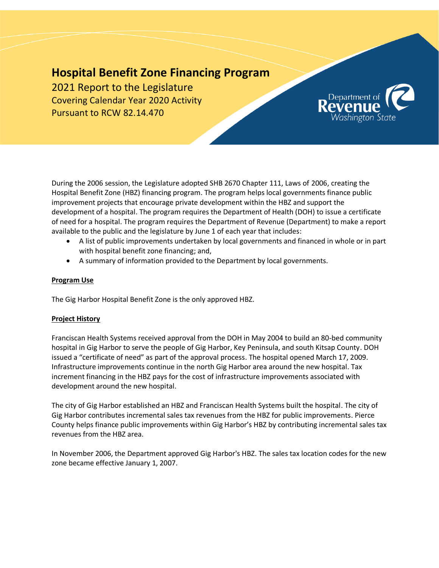# **Hospital Benefit Zone Financing Program**

2021 Report to the Legislature Covering Calendar Year 2020 Activity Pursuant to RCW 82.14.470



During the 2006 session, the Legislature adopted SHB 2670 Chapter 111, Laws of 2006, creating the Hospital Benefit Zone (HBZ) financing program. The program helps local governments finance public improvement projects that encourage private development within the HBZ and support the development of a hospital. The program requires the Department of Health (DOH) to issue a certificate of need for a hospital. The program requires the Department of Revenue (Department) to make a report available to the public and the legislature by June 1 of each year that includes:

- A list of public improvements undertaken by local governments and financed in whole or in part with hospital benefit zone financing; and,
- A summary of information provided to the Department by local governments.

## **Program Use**

The Gig Harbor Hospital Benefit Zone is the only approved HBZ.

## **Project History**

Franciscan Health Systems received approval from the DOH in May 2004 to build an 80-bed community hospital in Gig Harbor to serve the people of Gig Harbor, Key Peninsula, and south Kitsap County. DOH issued a "certificate of need" as part of the approval process. The hospital opened March 17, 2009. Infrastructure improvements continue in the north Gig Harbor area around the new hospital. Tax increment financing in the HBZ pays for the cost of infrastructure improvements associated with development around the new hospital.

The city of Gig Harbor established an HBZ and Franciscan Health Systems built the hospital. The city of Gig Harbor contributes incremental sales tax revenues from the HBZ for public improvements. Pierce County helps finance public improvements within Gig Harbor's HBZ by contributing incremental sales tax revenues from the HBZ area.

In November 2006, the Department approved Gig Harbor's HBZ. The sales tax location codes for the new zone became effective January 1, 2007.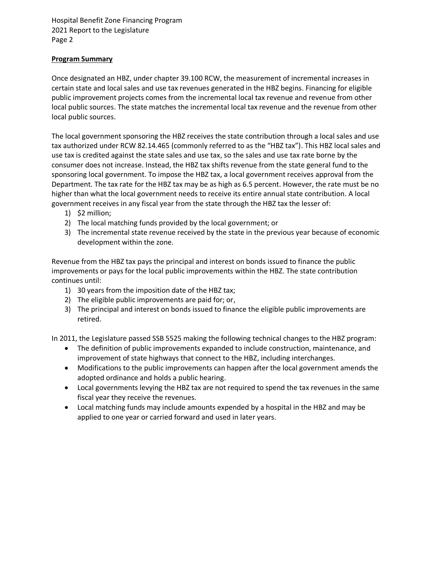## **Program Summary**

Once designated an HBZ, under chapter 39.100 RCW, the measurement of incremental increases in certain state and local sales and use tax revenues generated in the HBZ begins. Financing for eligible public improvement projects comes from the incremental local tax revenue and revenue from other local public sources. The state matches the incremental local tax revenue and the revenue from other local public sources.

The local government sponsoring the HBZ receives the state contribution through a local sales and use tax authorized under RCW 82.14.465 (commonly referred to as the "HBZ tax"). This HBZ local sales and use tax is credited against the state sales and use tax, so the sales and use tax rate borne by the consumer does not increase. Instead, the HBZ tax shifts revenue from the state general fund to the sponsoring local government. To impose the HBZ tax, a local government receives approval from the Department. The tax rate for the HBZ tax may be as high as 6.5 percent. However, the rate must be no higher than what the local government needs to receive its entire annual state contribution. A local government receives in any fiscal year from the state through the HBZ tax the lesser of:

- 1) \$2 million;
- 2) The local matching funds provided by the local government; or
- 3) The incremental state revenue received by the state in the previous year because of economic development within the zone.

Revenue from the HBZ tax pays the principal and interest on bonds issued to finance the public improvements or pays for the local public improvements within the HBZ. The state contribution continues until:

- 1) 30 years from the imposition date of the HBZ tax;
- 2) The eligible public improvements are paid for; or,
- 3) The principal and interest on bonds issued to finance the eligible public improvements are retired.

In 2011, the Legislature passed SSB 5525 making the following technical changes to the HBZ program:

- The definition of public improvements expanded to include construction, maintenance, and improvement of state highways that connect to the HBZ, including interchanges.
- Modifications to the public improvements can happen after the local government amends the adopted ordinance and holds a public hearing.
- Local governments levying the HBZ tax are not required to spend the tax revenues in the same fiscal year they receive the revenues.
- Local matching funds may include amounts expended by a hospital in the HBZ and may be applied to one year or carried forward and used in later years.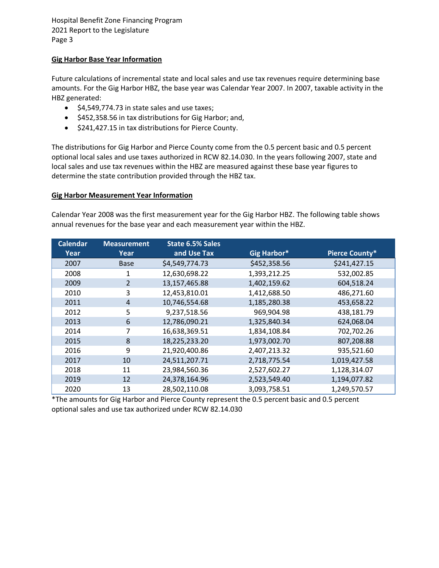## **Gig Harbor Base Year Information**

Future calculations of incremental state and local sales and use tax revenues require determining base amounts. For the Gig Harbor HBZ, the base year was Calendar Year 2007. In 2007, taxable activity in the HBZ generated:

- $\bullet$  \$4,549,774.73 in state sales and use taxes;
- \$452,358.56 in tax distributions for Gig Harbor; and,
- $\bullet$  \$241,427.15 in tax distributions for Pierce County.

The distributions for Gig Harbor and Pierce County come from the 0.5 percent basic and 0.5 percent optional local sales and use taxes authorized in RCW 82.14.030. In the years following 2007, state and local sales and use tax revenues within the HBZ are measured against these base year figures to determine the state contribution provided through the HBZ tax.

#### **Gig Harbor Measurement Year Information**

Calendar Year 2008 was the first measurement year for the Gig Harbor HBZ. The following table shows annual revenues for the base year and each measurement year within the HBZ.

| <b>Calendar</b> | <b>Measurement</b> | State 6.5% Sales |              |                       |
|-----------------|--------------------|------------------|--------------|-----------------------|
| Year            | Year               | and Use Tax      | Gig Harbor*  | <b>Pierce County*</b> |
| 2007            | <b>Base</b>        | \$4,549,774.73   | \$452,358.56 | \$241,427.15          |
| 2008            | 1                  | 12,630,698.22    | 1,393,212.25 | 532,002.85            |
| 2009            | $\mathcal{P}$      | 13,157,465.88    | 1,402,159.62 | 604,518.24            |
| 2010            | 3                  | 12,453,810.01    | 1,412,688.50 | 486,271.60            |
| 2011            | 4                  | 10,746,554.68    | 1,185,280.38 | 453,658.22            |
| 2012            | 5                  | 9,237,518.56     | 969,904.98   | 438,181.79            |
| 2013            | 6                  | 12,786,090.21    | 1,325,840.34 | 624,068.04            |
| 2014            | 7                  | 16,638,369.51    | 1,834,108.84 | 702,702.26            |
| 2015            | 8                  | 18,225,233.20    | 1,973,002.70 | 807,208.88            |
| 2016            | 9                  | 21,920,400.86    | 2,407,213.32 | 935,521.60            |
| 2017            | 10                 | 24,511,207.71    | 2,718,775.54 | 1,019,427.58          |
| 2018            | 11                 | 23,984,560.36    | 2,527,602.27 | 1,128,314.07          |
| 2019            | 12                 | 24,378,164.96    | 2,523,549.40 | 1,194,077.82          |
| 2020            | 13                 | 28,502,110.08    | 3,093,758.51 | 1,249,570.57          |

\*The amounts for Gig Harbor and Pierce County represent the 0.5 percent basic and 0.5 percent optional sales and use tax authorized under RCW 82.14.030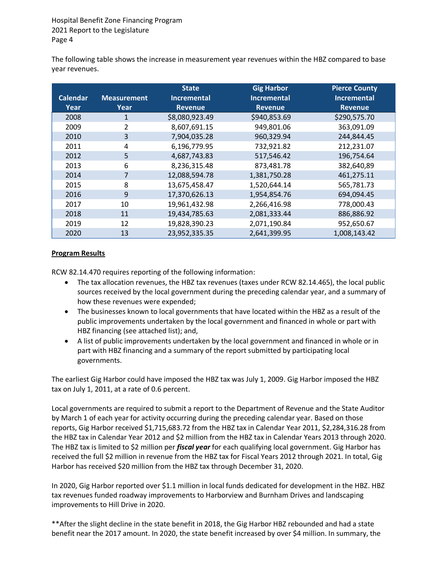The following table shows the increase in measurement year revenues within the HBZ compared to base year revenues.

|                 |                    | <b>State</b>       | <b>Gig Harbor</b>  | <b>Pierce County</b> |
|-----------------|--------------------|--------------------|--------------------|----------------------|
| <b>Calendar</b> | <b>Measurement</b> | <b>Incremental</b> | <b>Incremental</b> | <b>Incremental</b>   |
| Year            | Year               | <b>Revenue</b>     | <b>Revenue</b>     | <b>Revenue</b>       |
| 2008            | 1                  | \$8,080,923.49     | \$940,853.69       | \$290,575.70         |
| 2009            | 2                  | 8,607,691.15       | 949,801.06         | 363,091.09           |
| 2010            | 3                  | 7,904,035.28       | 960,329.94         | 244,844.45           |
| 2011            | 4                  | 6,196,779.95       | 732,921.82         | 212,231.07           |
| 2012            | 5                  | 4,687,743.83       | 517,546.42         | 196,754.64           |
| 2013            | 6                  | 8,236,315.48       | 873,481.78         | 382,640,89           |
| 2014            | 7                  | 12,088,594.78      | 1,381,750.28       | 461,275.11           |
| 2015            | 8                  | 13,675,458.47      | 1,520,644.14       | 565,781.73           |
| 2016            | 9                  | 17,370,626.13      | 1,954,854.76       | 694,094.45           |
| 2017            | 10                 | 19,961,432.98      | 2,266,416.98       | 778,000.43           |
| 2018            | 11                 | 19,434,785.63      | 2,081,333.44       | 886,886.92           |
| 2019            | 12                 | 19,828,390.23      | 2,071,190.84       | 952,650.67           |
| 2020            | 13                 | 23,952,335.35      | 2,641,399.95       | 1,008,143.42         |

## **Program Results**

RCW 82.14.470 requires reporting of the following information:

- The tax allocation revenues, the HBZ tax revenues (taxes under RCW 82.14.465), the local public sources received by the local government during the preceding calendar year, and a summary of how these revenues were expended;
- The businesses known to local governments that have located within the HBZ as a result of the public improvements undertaken by the local government and financed in whole or part with HBZ financing (see attached list); and,
- A list of public improvements undertaken by the local government and financed in whole or in part with HBZ financing and a summary of the report submitted by participating local governments.

The earliest Gig Harbor could have imposed the HBZ tax was July 1, 2009. Gig Harbor imposed the HBZ tax on July 1, 2011, at a rate of 0.6 percent.

Local governments are required to submit a report to the Department of Revenue and the State Auditor by March 1 of each year for activity occurring during the preceding calendar year. Based on those reports, Gig Harbor received \$1,715,683.72 from the HBZ tax in Calendar Year 2011, \$2,284,316.28 from the HBZ tax in Calendar Year 2012 and \$2 million from the HBZ tax in Calendar Years 2013 through 2020. The HBZ tax is limited to \$2 million per *fiscal year* for each qualifying local government. Gig Harbor has received the full \$2 million in revenue from the HBZ tax for Fiscal Years 2012 through 2021. In total, Gig Harbor has received \$20 million from the HBZ tax through December 31, 2020.

In 2020, Gig Harbor reported over \$1.1 million in local funds dedicated for development in the HBZ. HBZ tax revenues funded roadway improvements to Harborview and Burnham Drives and landscaping improvements to Hill Drive in 2020.

\*\*After the slight decline in the state benefit in 2018, the Gig Harbor HBZ rebounded and had a state benefit near the 2017 amount. In 2020, the state benefit increased by over \$4 million. In summary, the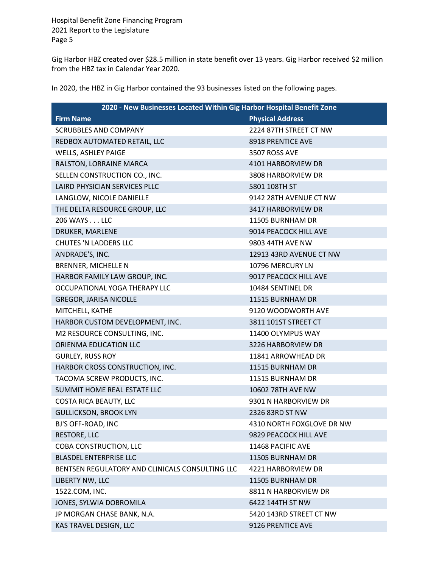Gig Harbor HBZ created over \$28.5 million in state benefit over 13 years. Gig Harbor received \$2 million from the HBZ tax in Calendar Year 2020.

In 2020, the HBZ in Gig Harbor contained the 93 businesses listed on the following pages.

| 2020 - New Businesses Located Within Gig Harbor Hospital Benefit Zone |                           |  |
|-----------------------------------------------------------------------|---------------------------|--|
| <b>Firm Name</b>                                                      | <b>Physical Address</b>   |  |
| <b>SCRUBBLES AND COMPANY</b>                                          | 2224 87TH STREET CT NW    |  |
| REDBOX AUTOMATED RETAIL, LLC                                          | 8918 PRENTICE AVE         |  |
| WELLS, ASHLEY PAIGE                                                   | 3507 ROSS AVE             |  |
| RALSTON, LORRAINE MARCA                                               | 4101 HARBORVIEW DR        |  |
| SELLEN CONSTRUCTION CO., INC.                                         | 3808 HARBORVIEW DR        |  |
| <b>LAIRD PHYSICIAN SERVICES PLLC</b>                                  | 5801 108TH ST             |  |
| LANGLOW, NICOLE DANIELLE                                              | 9142 28TH AVENUE CT NW    |  |
| THE DELTA RESOURCE GROUP, LLC                                         | 3417 HARBORVIEW DR        |  |
| 206 WAYS LLC                                                          | 11505 BURNHAM DR          |  |
| DRUKER, MARLENE                                                       | 9014 PEACOCK HILL AVE     |  |
| <b>CHUTES 'N LADDERS LLC</b>                                          | 9803 44TH AVE NW          |  |
| ANDRADE'S, INC.                                                       | 12913 43RD AVENUE CT NW   |  |
| <b>BRENNER, MICHELLE N</b>                                            | 10796 MERCURY LN          |  |
| HARBOR FAMILY LAW GROUP, INC.                                         | 9017 PEACOCK HILL AVE     |  |
| OCCUPATIONAL YOGA THERAPY LLC                                         | 10484 SENTINEL DR         |  |
| <b>GREGOR, JARISA NICOLLE</b>                                         | 11515 BURNHAM DR          |  |
| MITCHELL, KATHE                                                       | 9120 WOODWORTH AVE        |  |
| HARBOR CUSTOM DEVELOPMENT, INC.                                       | 3811 101ST STREET CT      |  |
| M2 RESOURCE CONSULTING, INC.                                          | 11400 OLYMPUS WAY         |  |
| ORIENMA EDUCATION LLC                                                 | 3226 HARBORVIEW DR        |  |
| <b>GURLEY, RUSS ROY</b>                                               | 11841 ARROWHEAD DR        |  |
| HARBOR CROSS CONSTRUCTION, INC.                                       | 11515 BURNHAM DR          |  |
| TACOMA SCREW PRODUCTS, INC.                                           | 11515 BURNHAM DR          |  |
| SUMMIT HOME REAL ESTATE LLC                                           | 10602 78TH AVE NW         |  |
| <b>COSTA RICA BEAUTY, LLC</b>                                         | 9301 N HARBORVIEW DR      |  |
| <b>GULLICKSON, BROOK LYN</b>                                          | 2326 83RD ST NW           |  |
| BJ'S OFF-ROAD, INC                                                    | 4310 NORTH FOXGLOVE DR NW |  |
| <b>RESTORE, LLC</b>                                                   | 9829 PEACOCK HILL AVE     |  |
| COBA CONSTRUCTION, LLC                                                | 11468 PACIFIC AVE         |  |
| <b>BLASDEL ENTERPRISE LLC</b>                                         | 11505 BURNHAM DR          |  |
| BENTSEN REGULATORY AND CLINICALS CONSULTING LLC                       | 4221 HARBORVIEW DR        |  |
| LIBERTY NW, LLC                                                       | 11505 BURNHAM DR          |  |
| 1522.COM, INC.                                                        | 8811 N HARBORVIEW DR      |  |
| JONES, SYLWIA DOBROMILA                                               | 6422 144TH ST NW          |  |
| JP MORGAN CHASE BANK, N.A.                                            | 5420 143RD STREET CT NW   |  |
| KAS TRAVEL DESIGN, LLC                                                | 9126 PRENTICE AVE         |  |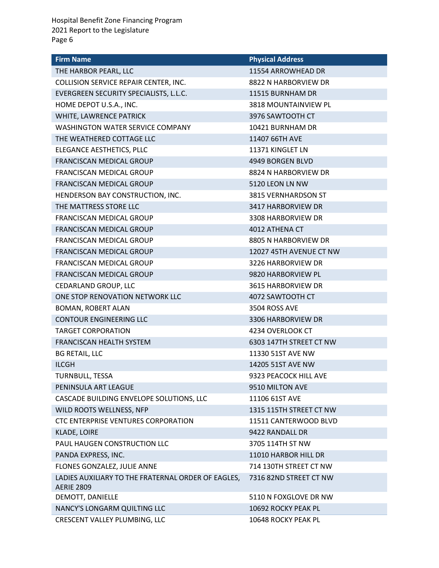| <b>Firm Name</b>                                                        | <b>Physical Address</b> |
|-------------------------------------------------------------------------|-------------------------|
| THE HARBOR PEARL, LLC                                                   | 11554 ARROWHEAD DR      |
| COLLISION SERVICE REPAIR CENTER, INC.                                   | 8822 N HARBORVIEW DR    |
| EVERGREEN SECURITY SPECIALISTS, L.L.C.                                  | 11515 BURNHAM DR        |
| HOME DEPOT U.S.A., INC.                                                 | 3818 MOUNTAINVIEW PL    |
| WHITE, LAWRENCE PATRICK                                                 | 3976 SAWTOOTH CT        |
| <b>WASHINGTON WATER SERVICE COMPANY</b>                                 | 10421 BURNHAM DR        |
| THE WEATHERED COTTAGE LLC                                               | 11407 66TH AVE          |
| ELEGANCE AESTHETICS, PLLC                                               | 11371 KINGLET LN        |
| FRANCISCAN MEDICAL GROUP                                                | 4949 BORGEN BLVD        |
| FRANCISCAN MEDICAL GROUP                                                | 8824 N HARBORVIEW DR    |
| FRANCISCAN MEDICAL GROUP                                                | 5120 LEON LN NW         |
| HENDERSON BAY CONSTRUCTION, INC.                                        | 3815 VERNHARDSON ST     |
| THE MATTRESS STORE LLC                                                  | 3417 HARBORVIEW DR      |
| <b>FRANCISCAN MEDICAL GROUP</b>                                         | 3308 HARBORVIEW DR      |
| FRANCISCAN MEDICAL GROUP                                                | 4012 ATHENA CT          |
| FRANCISCAN MEDICAL GROUP                                                | 8805 N HARBORVIEW DR    |
| FRANCISCAN MEDICAL GROUP                                                | 12027 45TH AVENUE CT NW |
| FRANCISCAN MEDICAL GROUP                                                | 3226 HARBORVIEW DR      |
| FRANCISCAN MEDICAL GROUP                                                | 9820 HARBORVIEW PL      |
| CEDARLAND GROUP, LLC                                                    | 3615 HARBORVIEW DR      |
| ONE STOP RENOVATION NETWORK LLC                                         | 4072 SAWTOOTH CT        |
| BOMAN, ROBERT ALAN                                                      | 3504 ROSS AVE           |
| <b>CONTOUR ENGINEERING LLC</b>                                          | 3306 HARBORVIEW DR      |
| <b>TARGET CORPORATION</b>                                               | 4234 OVERLOOK CT        |
| <b>FRANCISCAN HEALTH SYSTEM</b>                                         | 6303 147TH STREET CT NW |
| <b>BG RETAIL, LLC</b>                                                   | 11330 51ST AVE NW       |
| <b>ILCGH</b>                                                            | 14205 51ST AVE NW       |
| <b>TURNBULL, TESSA</b>                                                  | 9323 PEACOCK HILL AVE   |
| PENINSULA ART LEAGUE                                                    | 9510 MILTON AVE         |
| CASCADE BUILDING ENVELOPE SOLUTIONS, LLC                                | 11106 61ST AVE          |
| WILD ROOTS WELLNESS, NFP                                                | 1315 115TH STREET CT NW |
| CTC ENTERPRISE VENTURES CORPORATION                                     | 11511 CANTERWOOD BLVD   |
| <b>KLADE, LOIRE</b>                                                     | 9422 RANDALL DR         |
| PAUL HAUGEN CONSTRUCTION LLC                                            | 3705 114TH ST NW        |
| PANDA EXPRESS, INC.                                                     | 11010 HARBOR HILL DR    |
| FLONES GONZALEZ, JULIE ANNE                                             | 714 130TH STREET CT NW  |
| LADIES AUXILIARY TO THE FRATERNAL ORDER OF EAGLES,<br><b>AERIE 2809</b> | 7316 82ND STREET CT NW  |
| DEMOTT, DANIELLE                                                        | 5110 N FOXGLOVE DR NW   |
| NANCY'S LONGARM QUILTING LLC                                            | 10692 ROCKY PEAK PL     |
| CRESCENT VALLEY PLUMBING, LLC                                           | 10648 ROCKY PEAK PL     |